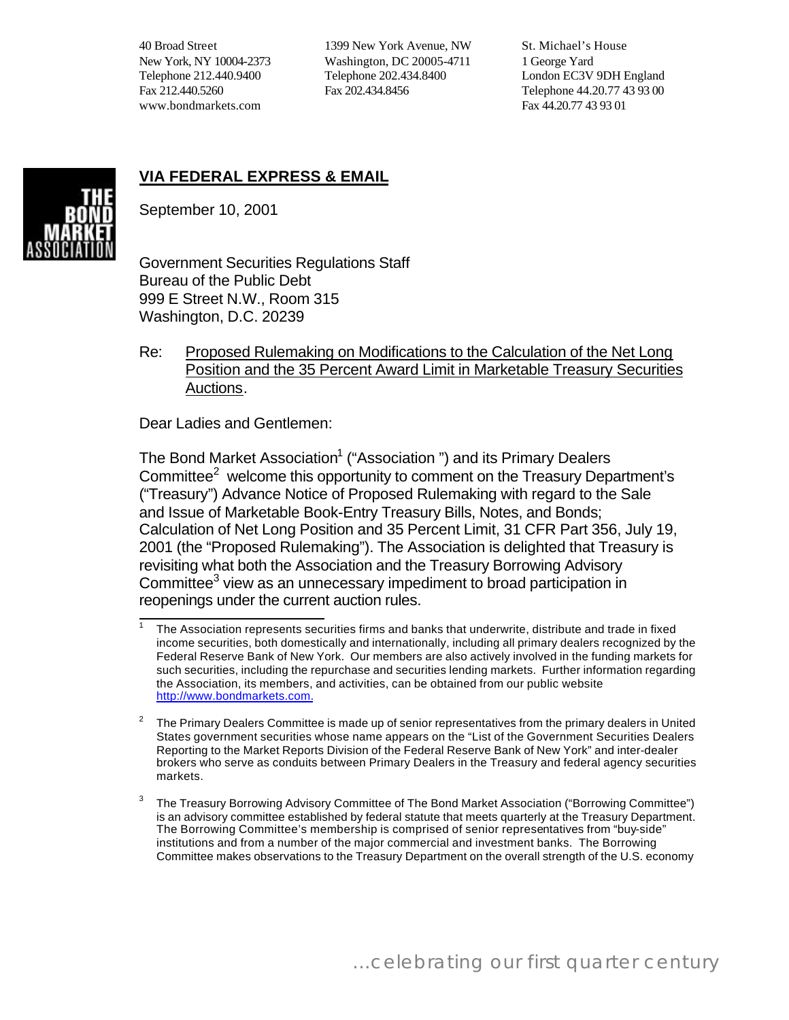40 Broad Street New York, NY 10004-2373 Telephone 212.440.9400 Fax 212.440.5260 www.bondmarkets.com

1399 New York Avenue, NW Washington, DC 20005-4711 Telephone 202.434.8400 Fax 202.434.8456

St. Michael's House 1 George Yard London EC3V 9DH England Telephone 44.20.77 43 93 00 Fax 44.20.77 43 93 01

# **VIA FEDERAL EXPRESS & EMAIL**



September 10, 2001

Government Securities Regulations Staff Bureau of the Public Debt 999 E Street N.W., Room 315 Washington, D.C. 20239

Re: Proposed Rulemaking on Modifications to the Calculation of the Net Long Position and the 35 Percent Award Limit in Marketable Treasury Securities Auctions.

Dear Ladies and Gentlemen:

The Bond Market Association<sup>1</sup> ("Association ") and its Primary Dealers Committee $2$  welcome this opportunity to comment on the Treasury Department's ("Treasury") Advance Notice of Proposed Rulemaking with regard to the Sale and Issue of Marketable Book-Entry Treasury Bills, Notes, and Bonds; Calculation of Net Long Position and 35 Percent Limit, 31 CFR Part 356, July 19, 2001 (the "Proposed Rulemaking"). The Association is delighted that Treasury is revisiting what both the Association and the Treasury Borrowing Advisory Committee<sup>3</sup> view as an unnecessary impediment to broad participation in reopenings under the current auction rules.

 $\overline{\phantom{a}}$ 1 The Association represents securities firms and banks that underwrite, distribute and trade in fixed income securities, both domestically and internationally, including all primary dealers recognized by the Federal Reserve Bank of New York. Our members are also actively involved in the funding markets for such securities, including the repurchase and securities lending markets. Further information regarding the Association, its members, and activities, can be obtained from our public website [http://www.bondmarkets.com.](http://www.publicdebt.treas.gov/cgi-bin/cgiwrap/~www/bpdRedirect.cgi?www.bondmarkets.com/)

<sup>2</sup> The Primary Dealers Committee is made up of senior representatives from the primary dealers in United States government securities whose name appears on the "List of the Government Securities Dealers Reporting to the Market Reports Division of the Federal Reserve Bank of New York" and inter-dealer brokers who serve as conduits between Primary Dealers in the Treasury and federal agency securities markets.

<sup>3</sup> The Treasury Borrowing Advisory Committee of The Bond Market Association ("Borrowing Committee") is an advisory committee established by federal statute that meets quarterly at the Treasury Department. The Borrowing Committee's membership is comprised of senior representatives from "buy-side" institutions and from a number of the major commercial and investment banks. The Borrowing Committee makes observations to the Treasury Department on the overall strength of the U.S. economy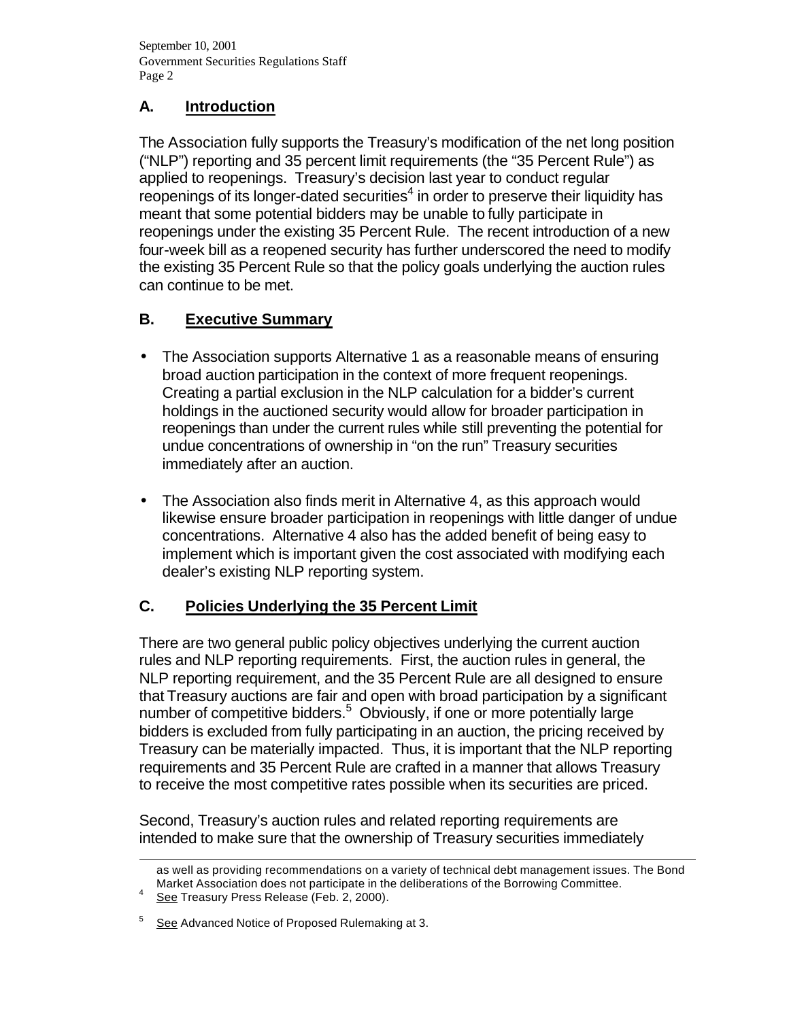# **A. Introduction**

The Association fully supports the Treasury's modification of the net long position ("NLP") reporting and 35 percent limit requirements (the "35 Percent Rule") as applied to reopenings. Treasury's decision last year to conduct regular reopenings of its longer-dated securities $4$  in order to preserve their liquidity has meant that some potential bidders may be unable to fully participate in reopenings under the existing 35 Percent Rule. The recent introduction of a new four-week bill as a reopened security has further underscored the need to modify the existing 35 Percent Rule so that the policy goals underlying the auction rules can continue to be met.

# **B. Executive Summary**

- The Association supports Alternative 1 as a reasonable means of ensuring broad auction participation in the context of more frequent reopenings. Creating a partial exclusion in the NLP calculation for a bidder's current holdings in the auctioned security would allow for broader participation in reopenings than under the current rules while still preventing the potential for undue concentrations of ownership in "on the run" Treasury securities immediately after an auction.
- The Association also finds merit in Alternative 4, as this approach would likewise ensure broader participation in reopenings with little danger of undue concentrations. Alternative 4 also has the added benefit of being easy to implement which is important given the cost associated with modifying each dealer's existing NLP reporting system.

# **C. Policies Underlying the 35 Percent Limit**

There are two general public policy objectives underlying the current auction rules and NLP reporting requirements. First, the auction rules in general, the NLP reporting requirement, and the 35 Percent Rule are all designed to ensure that Treasury auctions are fair and open with broad participation by a significant number of competitive bidders.<sup>5</sup> Obviously, if one or more potentially large bidders is excluded from fully participating in an auction, the pricing received by Treasury can be materially impacted. Thus, it is important that the NLP reporting requirements and 35 Percent Rule are crafted in a manner that allows Treasury to receive the most competitive rates possible when its securities are priced.

Second, Treasury's auction rules and related reporting requirements are intended to make sure that the ownership of Treasury securities immediately

l

as well as providing recommendations on a variety of technical debt management issues. The Bond Market Association does not participate in the deliberations of the Borrowing Committee.

<sup>4</sup> See Treasury Press Release (Feb. 2, 2000).

<sup>5</sup> See Advanced Notice of Proposed Rulemaking at 3.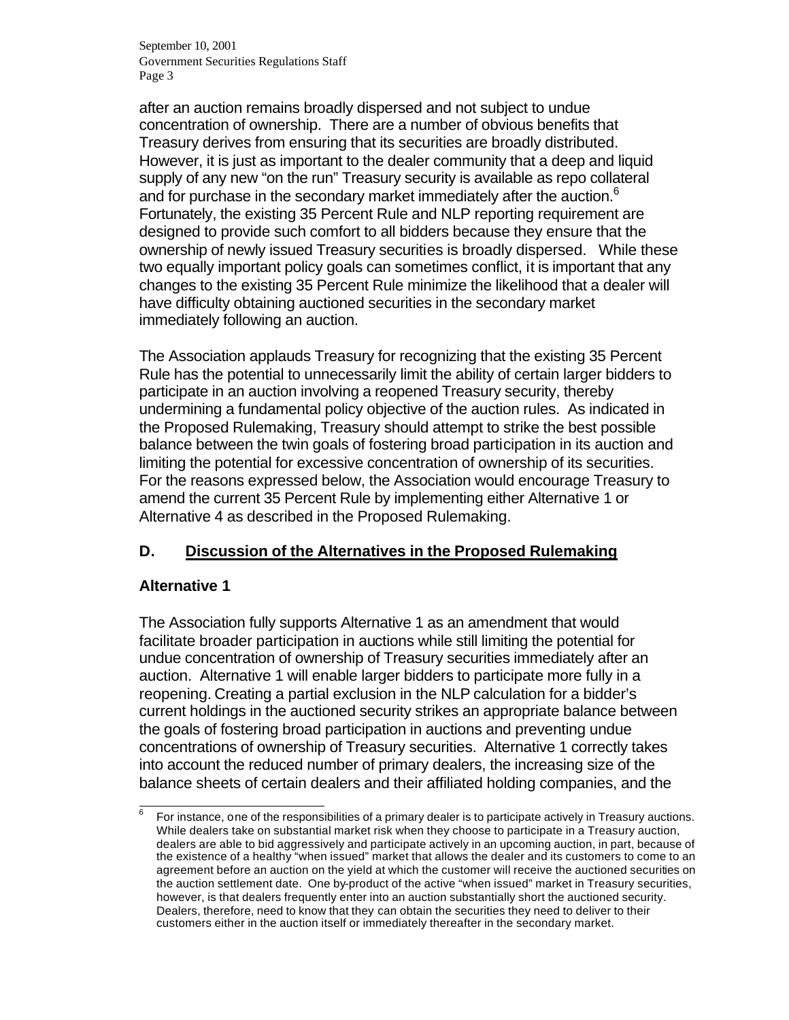after an auction remains broadly dispersed and not subject to undue concentration of ownership. There are a number of obvious benefits that Treasury derives from ensuring that its securities are broadly distributed. However, it is just as important to the dealer community that a deep and liquid supply of any new "on the run" Treasury security is available as repo collateral and for purchase in the secondary market immediately after the auction.<sup>6</sup> Fortunately, the existing 35 Percent Rule and NLP reporting requirement are designed to provide such comfort to all bidders because they ensure that the ownership of newly issued Treasury securities is broadly dispersed. While these two equally important policy goals can sometimes conflict, it is important that any changes to the existing 35 Percent Rule minimize the likelihood that a dealer will have difficulty obtaining auctioned securities in the secondary market immediately following an auction.

The Association applauds Treasury for recognizing that the existing 35 Percent Rule has the potential to unnecessarily limit the ability of certain larger bidders to participate in an auction involving a reopened Treasury security, thereby undermining a fundamental policy objective of the auction rules. As indicated in the Proposed Rulemaking, Treasury should attempt to strike the best possible balance between the twin goals of fostering broad participation in its auction and limiting the potential for excessive concentration of ownership of its securities. For the reasons expressed below, the Association would encourage Treasury to amend the current 35 Percent Rule by implementing either Alternative 1 or Alternative 4 as described in the Proposed Rulemaking.

# **D. Discussion of the Alternatives in the Proposed Rulemaking**

#### **Alternative 1**

The Association fully supports Alternative 1 as an amendment that would facilitate broader participation in auctions while still limiting the potential for undue concentration of ownership of Treasury securities immediately after an auction. Alternative 1 will enable larger bidders to participate more fully in a reopening. Creating a partial exclusion in the NLP calculation for a bidder's current holdings in the auctioned security strikes an appropriate balance between the goals of fostering broad participation in auctions and preventing undue concentrations of ownership of Treasury securities. Alternative 1 correctly takes into account the reduced number of primary dealers, the increasing size of the balance sheets of certain dealers and their affiliated holding companies, and the

 $\overline{\phantom{a}}$ 6 For instance, one of the responsibilities of a primary dealer is to participate actively in Treasury auctions. While dealers take on substantial market risk when they choose to participate in a Treasury auction, dealers are able to bid aggressively and participate actively in an upcoming auction, in part, because of the existence of a healthy "when issued" market that allows the dealer and its customers to come to an agreement before an auction on the yield at which the customer will receive the auctioned securities on the auction settlement date. One by-product of the active "when issued" market in Treasury securities, however, is that dealers frequently enter into an auction substantially short the auctioned security. Dealers, therefore, need to know that they can obtain the securities they need to deliver to their customers either in the auction itself or immediately thereafter in the secondary market.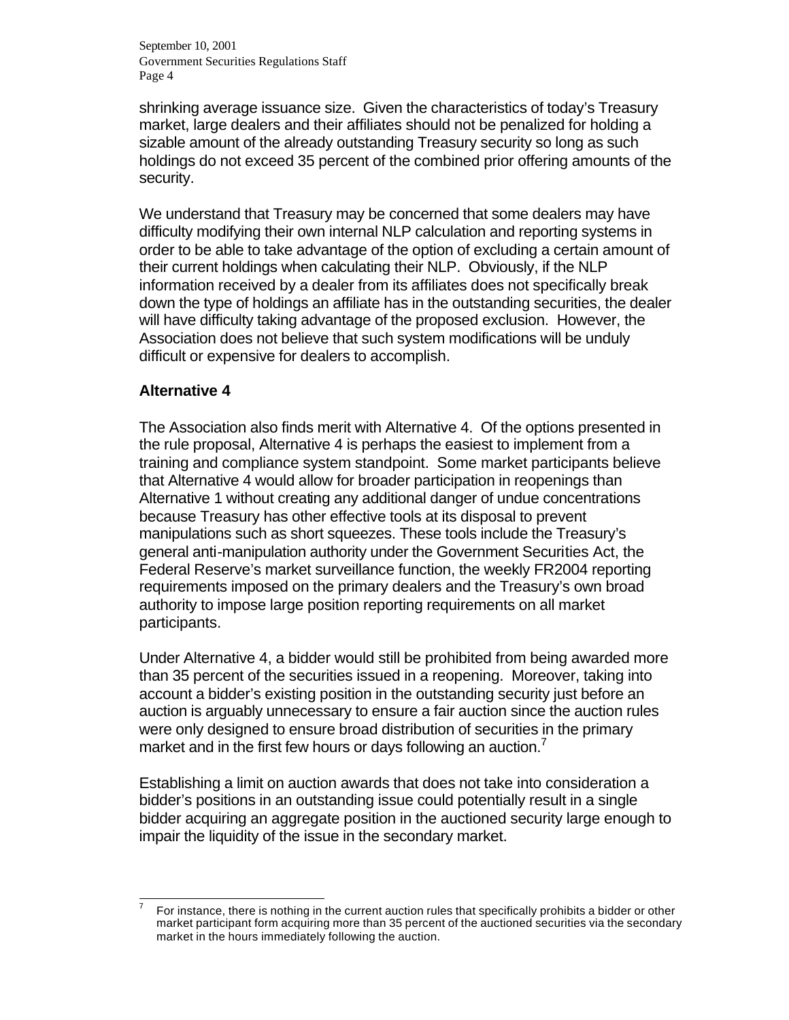shrinking average issuance size. Given the characteristics of today's Treasury market, large dealers and their affiliates should not be penalized for holding a sizable amount of the already outstanding Treasury security so long as such holdings do not exceed 35 percent of the combined prior offering amounts of the security.

We understand that Treasury may be concerned that some dealers may have difficulty modifying their own internal NLP calculation and reporting systems in order to be able to take advantage of the option of excluding a certain amount of their current holdings when calculating their NLP. Obviously, if the NLP information received by a dealer from its affiliates does not specifically break down the type of holdings an affiliate has in the outstanding securities, the dealer will have difficulty taking advantage of the proposed exclusion. However, the Association does not believe that such system modifications will be unduly difficult or expensive for dealers to accomplish.

#### **Alternative 4**

The Association also finds merit with Alternative 4. Of the options presented in the rule proposal, Alternative 4 is perhaps the easiest to implement from a training and compliance system standpoint. Some market participants believe that Alternative 4 would allow for broader participation in reopenings than Alternative 1 without creating any additional danger of undue concentrations because Treasury has other effective tools at its disposal to prevent manipulations such as short squeezes. These tools include the Treasury's general anti-manipulation authority under the Government Securities Act, the Federal Reserve's market surveillance function, the weekly FR2004 reporting requirements imposed on the primary dealers and the Treasury's own broad authority to impose large position reporting requirements on all market participants.

Under Alternative 4, a bidder would still be prohibited from being awarded more than 35 percent of the securities issued in a reopening. Moreover, taking into account a bidder's existing position in the outstanding security just before an auction is arguably unnecessary to ensure a fair auction since the auction rules were only designed to ensure broad distribution of securities in the primary market and in the first few hours or days following an auction.<sup>7</sup>

Establishing a limit on auction awards that does not take into consideration a bidder's positions in an outstanding issue could potentially result in a single bidder acquiring an aggregate position in the auctioned security large enough to impair the liquidity of the issue in the secondary market.

l 7 For instance, there is nothing in the current auction rules that specifically prohibits a bidder or other market participant form acquiring more than 35 percent of the auctioned securities via the secondary market in the hours immediately following the auction.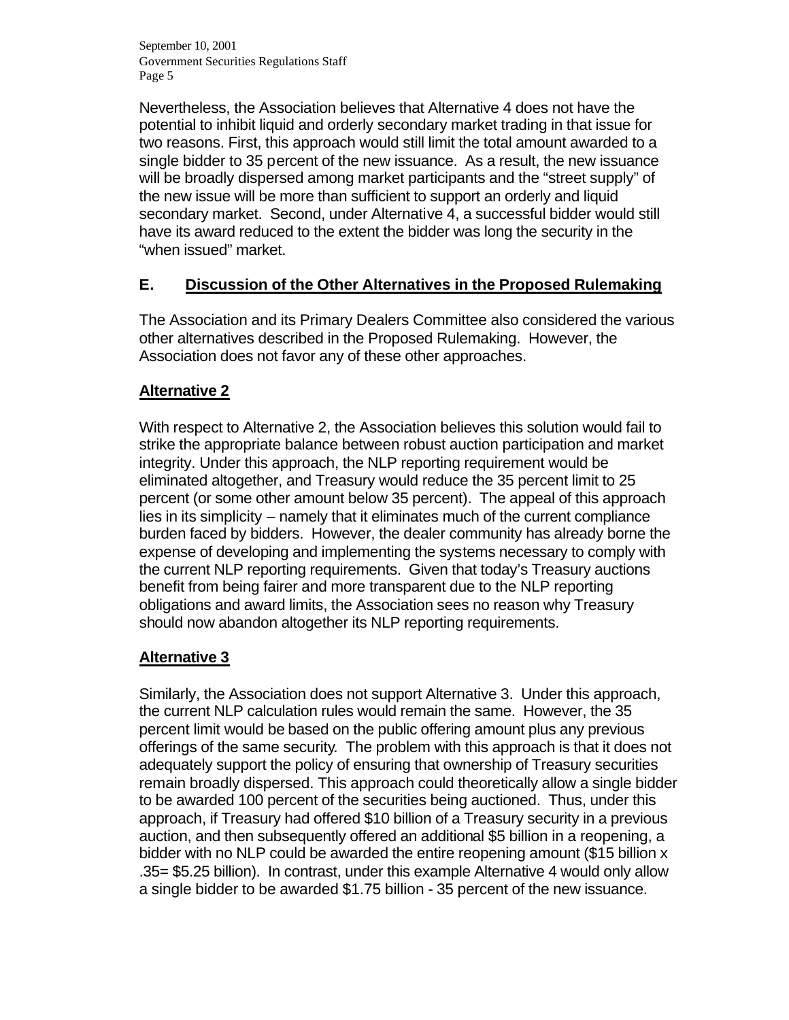Nevertheless, the Association believes that Alternative 4 does not have the potential to inhibit liquid and orderly secondary market trading in that issue for two reasons. First, this approach would still limit the total amount awarded to a single bidder to 35 percent of the new issuance. As a result, the new issuance will be broadly dispersed among market participants and the "street supply" of the new issue will be more than sufficient to support an orderly and liquid secondary market. Second, under Alternative 4, a successful bidder would still have its award reduced to the extent the bidder was long the security in the "when issued" market.

# **E. Discussion of the Other Alternatives in the Proposed Rulemaking**

The Association and its Primary Dealers Committee also considered the various other alternatives described in the Proposed Rulemaking. However, the Association does not favor any of these other approaches.

#### **Alternative 2**

With respect to Alternative 2, the Association believes this solution would fail to strike the appropriate balance between robust auction participation and market integrity. Under this approach, the NLP reporting requirement would be eliminated altogether, and Treasury would reduce the 35 percent limit to 25 percent (or some other amount below 35 percent). The appeal of this approach lies in its simplicity – namely that it eliminates much of the current compliance burden faced by bidders. However, the dealer community has already borne the expense of developing and implementing the systems necessary to comply with the current NLP reporting requirements. Given that today's Treasury auctions benefit from being fairer and more transparent due to the NLP reporting obligations and award limits, the Association sees no reason why Treasury should now abandon altogether its NLP reporting requirements.

# **Alternative 3**

Similarly, the Association does not support Alternative 3. Under this approach, the current NLP calculation rules would remain the same. However, the 35 percent limit would be based on the public offering amount plus any previous offerings of the same security*.* The problem with this approach is that it does not adequately support the policy of ensuring that ownership of Treasury securities remain broadly dispersed. This approach could theoretically allow a single bidder to be awarded 100 percent of the securities being auctioned. Thus, under this approach, if Treasury had offered \$10 billion of a Treasury security in a previous auction, and then subsequently offered an additional \$5 billion in a reopening, a bidder with no NLP could be awarded the entire reopening amount (\$15 billion x .35= \$5.25 billion). In contrast, under this example Alternative 4 would only allow a single bidder to be awarded \$1.75 billion - 35 percent of the new issuance.